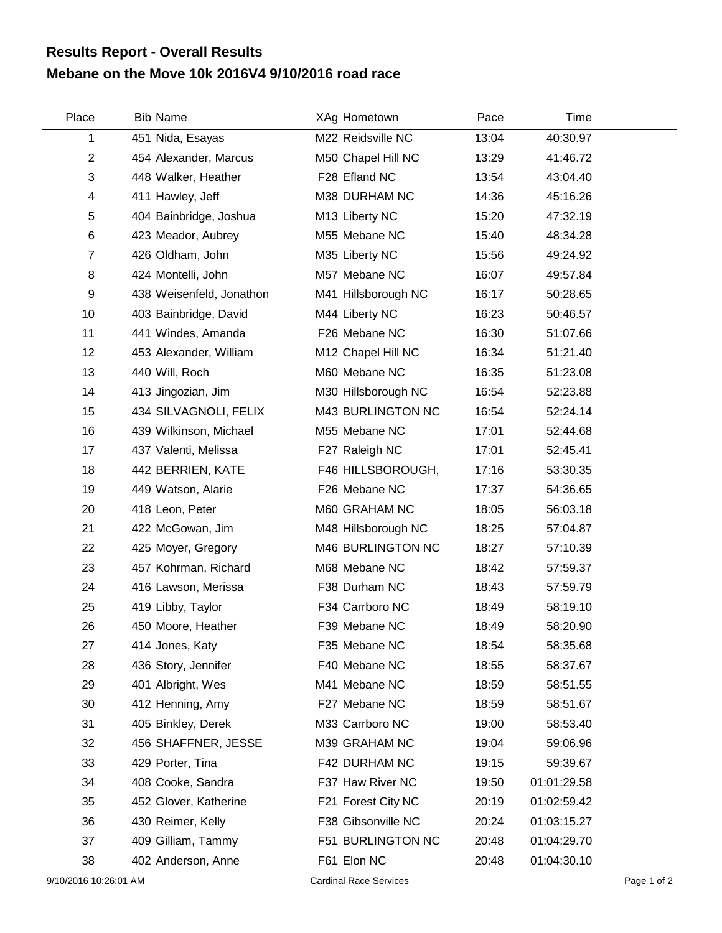## **Mebane on the Move 10k 2016V4 9/10/2016 road race Results Report - Overall Results**

| Place          | <b>Bib Name</b>          | XAg Hometown        | Pace  | Time        |  |
|----------------|--------------------------|---------------------|-------|-------------|--|
| 1              | 451 Nida, Esayas         | M22 Reidsville NC   | 13:04 | 40:30.97    |  |
| $\overline{2}$ | 454 Alexander, Marcus    | M50 Chapel Hill NC  | 13:29 | 41:46.72    |  |
| 3              | 448 Walker, Heather      | F28 Efland NC       | 13:54 | 43:04.40    |  |
| 4              | 411 Hawley, Jeff         | M38 DURHAM NC       | 14:36 | 45:16.26    |  |
| 5              | 404 Bainbridge, Joshua   | M13 Liberty NC      | 15:20 | 47:32.19    |  |
| 6              | 423 Meador, Aubrey       | M55 Mebane NC       | 15:40 | 48:34.28    |  |
| $\overline{7}$ | 426 Oldham, John         | M35 Liberty NC      | 15:56 | 49:24.92    |  |
| 8              | 424 Montelli, John       | M57 Mebane NC       | 16:07 | 49:57.84    |  |
| 9              | 438 Weisenfeld, Jonathon | M41 Hillsborough NC | 16:17 | 50:28.65    |  |
| 10             | 403 Bainbridge, David    | M44 Liberty NC      | 16:23 | 50:46.57    |  |
| 11             | 441 Windes, Amanda       | F26 Mebane NC       | 16:30 | 51:07.66    |  |
| 12             | 453 Alexander, William   | M12 Chapel Hill NC  | 16:34 | 51:21.40    |  |
| 13             | 440 Will, Roch           | M60 Mebane NC       | 16:35 | 51:23.08    |  |
| 14             | 413 Jingozian, Jim       | M30 Hillsborough NC | 16:54 | 52:23.88    |  |
| 15             | 434 SILVAGNOLI, FELIX    | M43 BURLINGTON NC   | 16:54 | 52:24.14    |  |
| 16             | 439 Wilkinson, Michael   | M55 Mebane NC       | 17:01 | 52:44.68    |  |
| 17             | 437 Valenti, Melissa     | F27 Raleigh NC      | 17:01 | 52:45.41    |  |
| 18             | 442 BERRIEN, KATE        | F46 HILLSBOROUGH,   | 17:16 | 53:30.35    |  |
| 19             | 449 Watson, Alarie       | F26 Mebane NC       | 17:37 | 54:36.65    |  |
| 20             | 418 Leon, Peter          | M60 GRAHAM NC       | 18:05 | 56:03.18    |  |
| 21             | 422 McGowan, Jim         | M48 Hillsborough NC | 18:25 | 57:04.87    |  |
| 22             | 425 Moyer, Gregory       | M46 BURLINGTON NC   | 18:27 | 57:10.39    |  |
| 23             | 457 Kohrman, Richard     | M68 Mebane NC       | 18:42 | 57:59.37    |  |
| 24             | 416 Lawson, Merissa      | F38 Durham NC       | 18:43 | 57:59.79    |  |
| 25             | 419 Libby, Taylor        | F34 Carrboro NC     | 18:49 | 58:19.10    |  |
| 26             | 450 Moore, Heather       | F39 Mebane NC       | 18:49 | 58:20.90    |  |
| 27             | 414 Jones, Katy          | F35 Mebane NC       | 18:54 | 58:35.68    |  |
| 28             | 436 Story, Jennifer      | F40 Mebane NC       | 18:55 | 58:37.67    |  |
| 29             | 401 Albright, Wes        | M41 Mebane NC       | 18:59 | 58:51.55    |  |
| 30             | 412 Henning, Amy         | F27 Mebane NC       | 18:59 | 58:51.67    |  |
| 31             | 405 Binkley, Derek       | M33 Carrboro NC     | 19:00 | 58:53.40    |  |
| 32             | 456 SHAFFNER, JESSE      | M39 GRAHAM NC       | 19:04 | 59:06.96    |  |
| 33             | 429 Porter, Tina         | F42 DURHAM NC       | 19:15 | 59:39.67    |  |
| 34             | 408 Cooke, Sandra        | F37 Haw River NC    | 19:50 | 01:01:29.58 |  |
| 35             | 452 Glover, Katherine    | F21 Forest City NC  | 20:19 | 01:02:59.42 |  |
| 36             | 430 Reimer, Kelly        | F38 Gibsonville NC  | 20:24 | 01:03:15.27 |  |
| 37             | 409 Gilliam, Tammy       | F51 BURLINGTON NC   | 20:48 | 01:04:29.70 |  |
| 38             | 402 Anderson, Anne       | F61 Elon NC         | 20:48 | 01:04:30.10 |  |